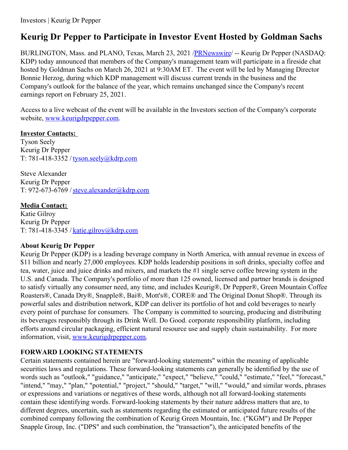# **Keurig Dr Pepper to Participate in Investor Event Hosted by Goldman Sachs**

BURLINGTON, Mass. and PLANO, Texas, March 23, 2021 [/PRNewswire](http://www.prnewswire.com/)/ -- Keurig Dr Pepper (NASDAQ: KDP) today announced that members of the Company's management team will participate in a fireside chat hosted by Goldman Sachs on March 26, 2021 at 9:30AM ET. The event will be led by Managing Director Bonnie Herzog, during which KDP management will discuss current trends in the business and the Company's outlook for the balance of the year, which remains unchanged since the Company's recent earnings report on February 25, 2021.

Access to a live webcast of the event will be available in the Investors section of the Company's corporate website, [www.keurigdrpepper.com](https://c212.net/c/link/?t=0&l=en&o=3105431-1&h=1950506972&u=http%3A%2F%2Fwww.keurigdrpepper.com%2F&a=www.keurigdrpepper.com).

#### **Investor Contacts:**

Tyson Seely Keurig Dr Pepper T: 781-418-3352 / [tyson.seely@kdrp.com](mailto:tyson.seely@kdrp.com)

Steve Alexander Keurig Dr Pepper T: 972-673-6769 / [steve.alexander@kdrp.com](mailto:steve.alexander@kdrp.com)

**Media Contact:** Katie Gilroy Keurig Dr Pepper T: 781-418-3345 / [katie.gilroy@kdrp.com](mailto:katie.gilroy@kdrp.com)

### **About Keurig Dr Pepper**

Keurig Dr Pepper (KDP) is a leading beverage company in North America, with annual revenue in excess of \$11 billion and nearly 27,000 employees. KDP holds leadership positions in soft drinks, specialty coffee and tea, water, juice and juice drinks and mixers, and markets the #1 single serve coffee brewing system in the U.S. and Canada. The Company's portfolio of more than 125 owned, licensed and partner brands is designed to satisfy virtually any consumer need, any time, and includes Keurig®, Dr Pepper®, Green Mountain Coffee Roasters®, Canada Dry®, Snapple®, Bai®, Mott's®, CORE® and The Original Donut Shop®. Through its powerful sales and distribution network, KDP can deliver its portfolio of hot and cold beverages to nearly every point of purchase for consumers. The Company is committed to sourcing, producing and distributing its beverages responsibly through its Drink Well. Do Good. corporate responsibility platform, including efforts around circular packaging, efficient natural resource use and supply chain sustainability. For more information, visit, [www.keurigdrpepper.com](https://c212.net/c/link/?t=0&l=en&o=3105431-1&h=1950506972&u=http%3A%2F%2Fwww.keurigdrpepper.com%2F&a=www.keurigdrpepper.com).

## **FORWARD LOOKING STATEMENTS**

Certain statements contained herein are "forward-looking statements" within the meaning of applicable securities laws and regulations. These forward-looking statements can generally be identified by the use of words such as "outlook," "guidance," "anticipate," "expect," "believe," "could," "estimate," "feel," "forecast," "intend," "may," "plan," "potential," "project," "should," "target," "will," "would," and similar words, phrases or expressions and variations or negatives of these words, although not all forward-looking statements contain these identifying words. Forward-looking statements by their nature address matters that are, to different degrees, uncertain, such as statements regarding the estimated or anticipated future results of the combined company following the combination of Keurig Green Mountain, Inc. ("KGM") and Dr Pepper Snapple Group, Inc. ("DPS" and such combination, the "transaction"), the anticipated benefits of the